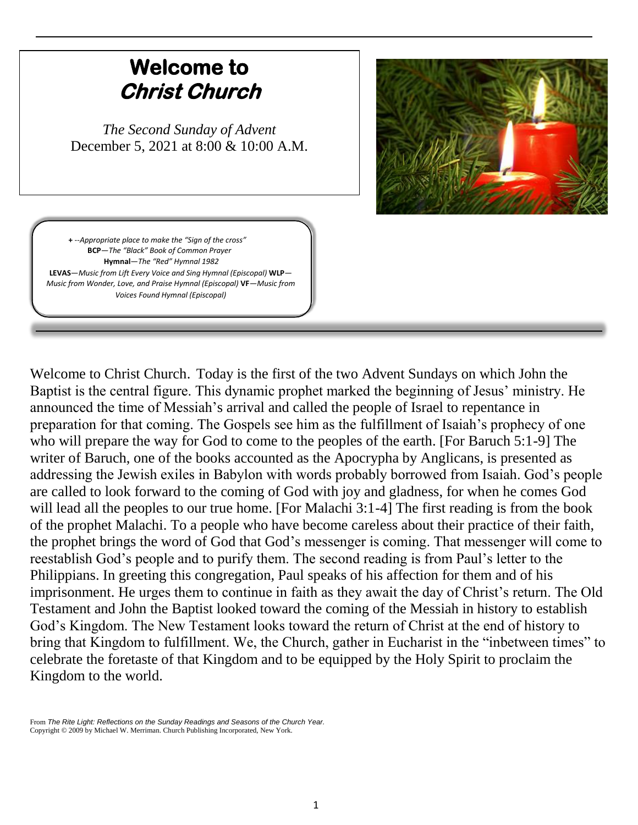# **Welcome to Christ Church**

*The Second Sunday of Advent* December 5, 2021 at 8:00 & 10:00 A.M.



**+** --*Appropriate place to make the "Sign of the cross"* **BCP**—*The "Black" Book of Common Prayer* **Hymnal**—*The "Red" Hymnal 1982* **LEVAS**—*Music from Lift Every Voice and Sing Hymnal (Episcopal)* **WLP**— *Music from Wonder, Love, and Praise Hymnal (Episcopal)* **VF***—Music from Voices Found Hymnal (Episcopal)*

Welcome to Christ Church. Today is the first of the two Advent Sundays on which John the Baptist is the central figure. This dynamic prophet marked the beginning of Jesus' ministry. He announced the time of Messiah's arrival and called the people of Israel to repentance in preparation for that coming. The Gospels see him as the fulfillment of Isaiah's prophecy of one who will prepare the way for God to come to the peoples of the earth. [For Baruch 5:1-9] The writer of Baruch, one of the books accounted as the Apocrypha by Anglicans, is presented as addressing the Jewish exiles in Babylon with words probably borrowed from Isaiah. God's people are called to look forward to the coming of God with joy and gladness, for when he comes God will lead all the peoples to our true home. [For Malachi 3:1-4] The first reading is from the book of the prophet Malachi. To a people who have become careless about their practice of their faith, the prophet brings the word of God that God's messenger is coming. That messenger will come to reestablish God's people and to purify them. The second reading is from Paul's letter to the Philippians. In greeting this congregation, Paul speaks of his affection for them and of his imprisonment. He urges them to continue in faith as they await the day of Christ's return. The Old Testament and John the Baptist looked toward the coming of the Messiah in history to establish God's Kingdom. The New Testament looks toward the return of Christ at the end of history to bring that Kingdom to fulfillment. We, the Church, gather in Eucharist in the "inbetween times" to celebrate the foretaste of that Kingdom and to be equipped by the Holy Spirit to proclaim the Kingdom to the world.

From *The Rite Light: Reflections on the Sunday Readings and Seasons of the Church Year.* Copyright © 2009 by Michael W. Merriman. Church Publishing Incorporated, New York.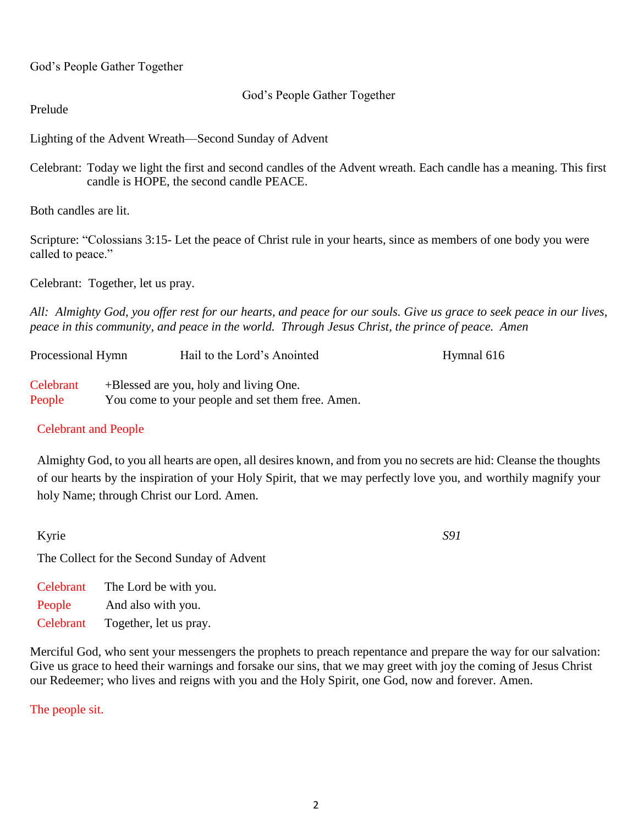God's People Gather Together

God's People Gather Together

Prelude

Lighting of the Advent Wreath—Second Sunday of Advent

Celebrant: Today we light the first and second candles of the Advent wreath. Each candle has a meaning. This first candle is HOPE, the second candle PEACE.

Both candles are lit.

Scripture: "Colossians 3:15- Let the peace of Christ rule in your hearts, since as members of one body you were called to peace."

Celebrant:Together, let us pray.

*All: Almighty God, you offer rest for our hearts, and peace for our souls. Give us grace to seek peace in our lives, peace in this community, and peace in the world. Through Jesus Christ, the prince of peace. Amen*

| Processional Hymn |  | Hail to the Lord's Anointed                      | Hymnal 616 |
|-------------------|--|--------------------------------------------------|------------|
| Celebrant         |  | +Blessed are you, holy and living One.           |            |
| People            |  | You come to your people and set them free. Amen. |            |

## Celebrant and People

Almighty God, to you all hearts are open, all desires known, and from you no secrets are hid: Cleanse the thoughts of our hearts by the inspiration of your Holy Spirit, that we may perfectly love you, and worthily magnify your holy Name; through Christ our Lord. Amen.

Kyrie *S91*

The Collect for the Second Sunday of Advent

CelebrantThe Lord be with you. People And also with you. CelebrantTogether, let us pray.

Merciful God, who sent your messengers the prophets to preach repentance and prepare the way for our salvation: Give us grace to heed their warnings and forsake our sins, that we may greet with joy the coming of Jesus Christ our Redeemer; who lives and reigns with you and the Holy Spirit, one God, now and forever. Amen.

The people sit.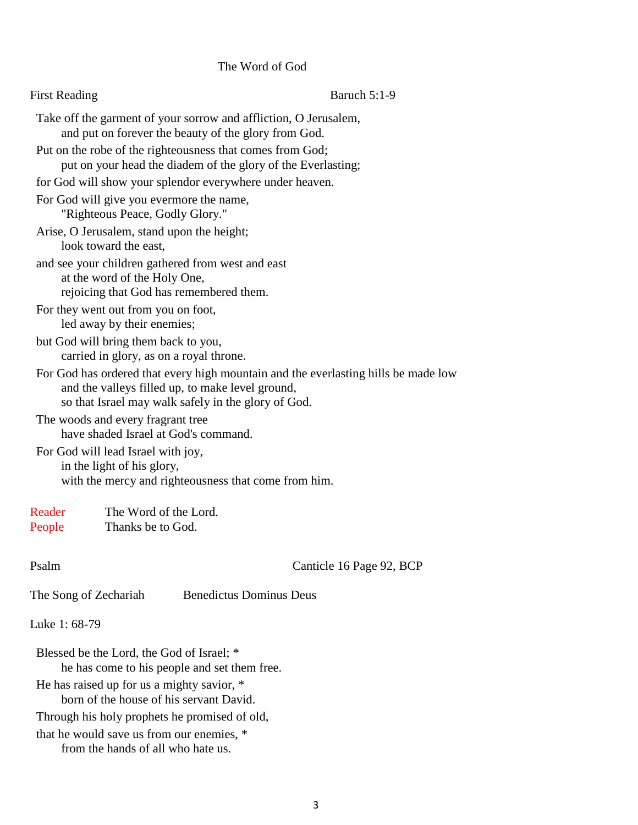## The Word of God

| <b>First Reading</b>                                                                                                         | <b>Baruch 5:1-9</b>                                                                                                                                                                           |
|------------------------------------------------------------------------------------------------------------------------------|-----------------------------------------------------------------------------------------------------------------------------------------------------------------------------------------------|
|                                                                                                                              | Take off the garment of your sorrow and affliction, O Jerusalem,<br>and put on forever the beauty of the glory from God.                                                                      |
|                                                                                                                              | Put on the robe of the righteousness that comes from God;<br>put on your head the diadem of the glory of the Everlasting;                                                                     |
|                                                                                                                              | for God will show your splendor everywhere under heaven.                                                                                                                                      |
| For God will give you evermore the name,<br>"Righteous Peace, Godly Glory."                                                  |                                                                                                                                                                                               |
| Arise, O Jerusalem, stand upon the height;<br>look toward the east,                                                          |                                                                                                                                                                                               |
| and see your children gathered from west and east<br>at the word of the Holy One,<br>rejoicing that God has remembered them. |                                                                                                                                                                                               |
| For they went out from you on foot,<br>led away by their enemies;                                                            |                                                                                                                                                                                               |
| but God will bring them back to you,<br>carried in glory, as on a royal throne.                                              |                                                                                                                                                                                               |
|                                                                                                                              | For God has ordered that every high mountain and the everlasting hills be made low<br>and the valleys filled up, to make level ground,<br>so that Israel may walk safely in the glory of God. |
| The woods and every fragrant tree<br>have shaded Israel at God's command.                                                    |                                                                                                                                                                                               |
| For God will lead Israel with joy,<br>in the light of his glory,                                                             | with the mercy and righteousness that come from him.                                                                                                                                          |
| Reader<br>The Word of the Lord.<br>Thanks be to God.<br>People                                                               |                                                                                                                                                                                               |
| Psalm                                                                                                                        | Canticle 16 Page 92, BCP                                                                                                                                                                      |
| The Song of Zechariah                                                                                                        | <b>Benedictus Dominus Deus</b>                                                                                                                                                                |
|                                                                                                                              |                                                                                                                                                                                               |

Luke 1: 68-79

Blessed be the Lord, the God of Israel; \* he has come to his people and set them free.

He has raised up for us a mighty savior, \* born of the house of his servant David.

Through his holy prophets he promised of old,

that he would save us from our enemies, \*

from the hands of all who hate us.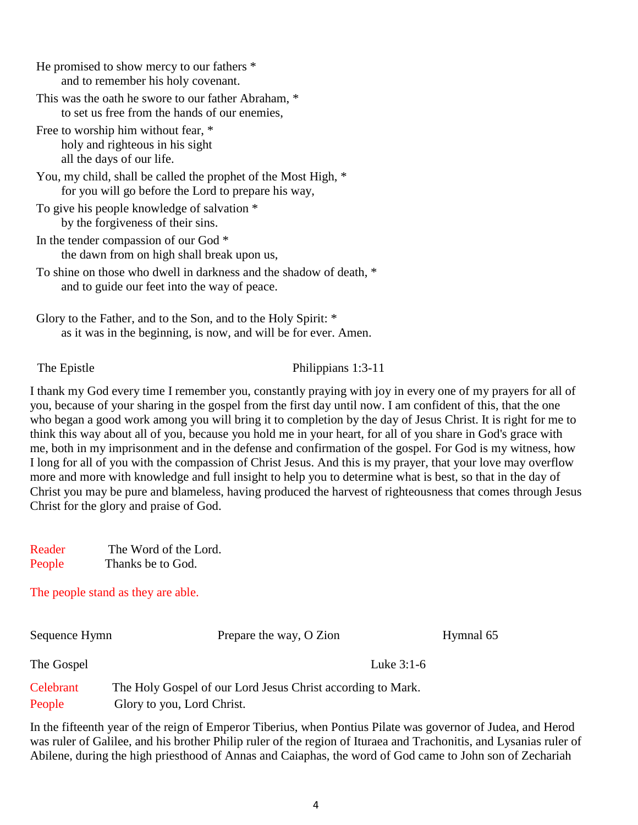| He promised to show mercy to our fathers *<br>and to remember his holy covenant.                                      |
|-----------------------------------------------------------------------------------------------------------------------|
| This was the oath he swore to our father Abraham, *<br>to set us free from the hands of our enemies,                  |
| Free to worship him without fear, *<br>holy and righteous in his sight<br>all the days of our life.                   |
| You, my child, shall be called the prophet of the Most High, *<br>for you will go before the Lord to prepare his way, |
| To give his people knowledge of salvation *<br>by the forgiveness of their sins.                                      |
| In the tender compassion of our God *<br>the dawn from on high shall break upon us,                                   |
| To shine on those who dwell in darkness and the shadow of death, *<br>and to guide our feet into the way of peace.    |

Glory to the Father, and to the Son, and to the Holy Spirit: \* as it was in the beginning, is now, and will be for ever. Amen.

## The Epistle Philippians 1:3-11

I thank my God every time I remember you, constantly praying with joy in every one of my prayers for all of you, because of your sharing in the gospel from the first day until now. I am confident of this, that the one who began a good work among you will bring it to completion by the day of Jesus Christ. It is right for me to think this way about all of you, because you hold me in your heart, for all of you share in God's grace with me, both in my imprisonment and in the defense and confirmation of the gospel. For God is my witness, how I long for all of you with the compassion of Christ Jesus. And this is my prayer, that your love may overflow more and more with knowledge and full insight to help you to determine what is best, so that in the day of Christ you may be pure and blameless, having produced the harvest of righteousness that comes through Jesus Christ for the glory and praise of God.

| Reader | The Word of the Lord. |  |
|--------|-----------------------|--|
| People | Thanks be to God.     |  |

The people stand as they are able.

| Prepare the way, O Zion                                     | Hymnal 65                  |
|-------------------------------------------------------------|----------------------------|
| Luke $3:1-6$                                                |                            |
| The Holy Gospel of our Lord Jesus Christ according to Mark. |                            |
| Sequence Hymn                                               | Glory to you, Lord Christ. |

In the fifteenth year of the reign of Emperor Tiberius, when Pontius Pilate was governor of Judea, and Herod was ruler of Galilee, and his brother Philip ruler of the region of Ituraea and Trachonitis, and Lysanias ruler of Abilene, during the high priesthood of Annas and Caiaphas, the word of God came to John son of Zechariah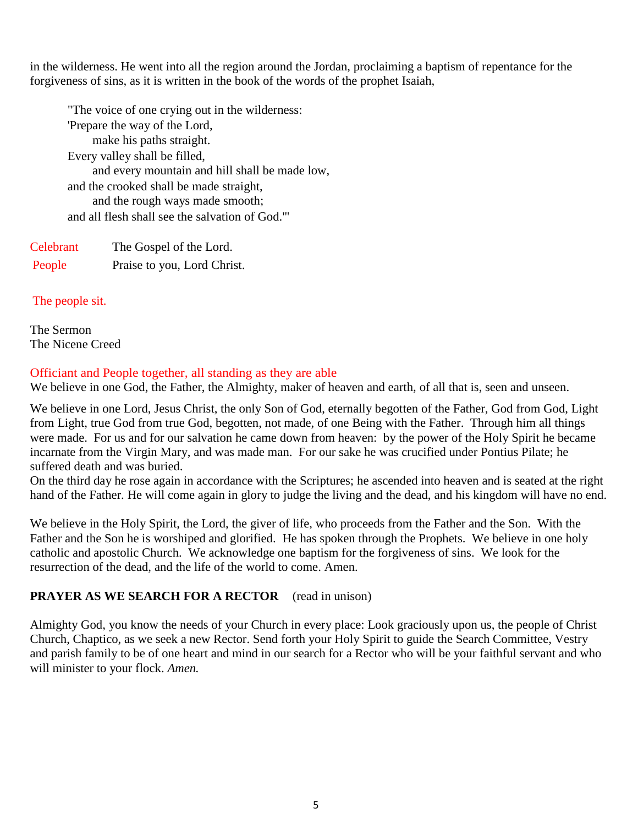in the wilderness. He went into all the region around the Jordan, proclaiming a baptism of repentance for the forgiveness of sins, as it is written in the book of the words of the prophet Isaiah,

"The voice of one crying out in the wilderness: 'Prepare the way of the Lord, make his paths straight. Every valley shall be filled, and every mountain and hill shall be made low, and the crooked shall be made straight, and the rough ways made smooth; and all flesh shall see the salvation of God.'"

| Celebrant | The Gospel of the Lord.     |
|-----------|-----------------------------|
| People    | Praise to you, Lord Christ. |

## The people sit.

The Sermon The Nicene Creed

## Officiant and People together, all standing as they are able

We believe in one God, the Father, the Almighty, maker of heaven and earth, of all that is, seen and unseen.

We believe in one Lord, Jesus Christ, the only Son of God, eternally begotten of the Father, God from God, Light from Light, true God from true God, begotten, not made, of one Being with the Father. Through him all things were made. For us and for our salvation he came down from heaven: by the power of the Holy Spirit he became incarnate from the Virgin Mary, and was made man. For our sake he was crucified under Pontius Pilate; he suffered death and was buried.

On the third day he rose again in accordance with the Scriptures; he ascended into heaven and is seated at the right hand of the Father. He will come again in glory to judge the living and the dead, and his kingdom will have no end.

We believe in the Holy Spirit, the Lord, the giver of life, who proceeds from the Father and the Son. With the Father and the Son he is worshiped and glorified. He has spoken through the Prophets. We believe in one holy catholic and apostolic Church. We acknowledge one baptism for the forgiveness of sins. We look for the resurrection of the dead, and the life of the world to come. Amen.

## **PRAYER AS WE SEARCH FOR A RECTOR** (read in unison)

Almighty God, you know the needs of your Church in every place: Look graciously upon us, the people of Christ Church, Chaptico, as we seek a new Rector. Send forth your Holy Spirit to guide the Search Committee, Vestry and parish family to be of one heart and mind in our search for a Rector who will be your faithful servant and who will minister to your flock. *Amen.*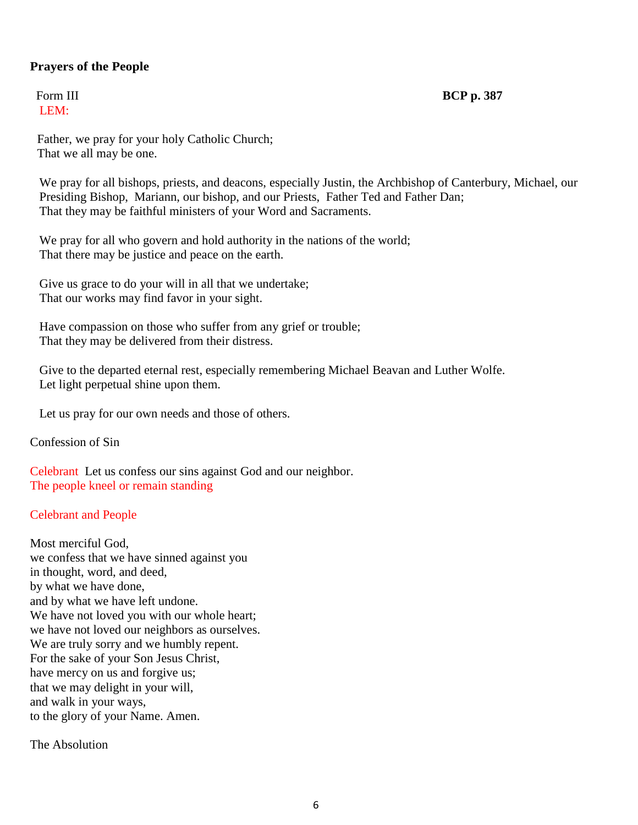## **Prayers of the People**

LEM:

#### **BCP p. 387**

Father, we pray for your holy Catholic Church; That we all may be one.

We pray for all bishops, priests, and deacons, especially Justin, the Archbishop of Canterbury, Michael, our Presiding Bishop, Mariann, our bishop, and our Priests, Father Ted and Father Dan; That they may be faithful ministers of your Word and Sacraments.

We pray for all who govern and hold authority in the nations of the world; That there may be justice and peace on the earth.

Give us grace to do your will in all that we undertake; That our works may find favor in your sight.

Have compassion on those who suffer from any grief or trouble; That they may be delivered from their distress.

Give to the departed eternal rest, especially remembering Michael Beavan and Luther Wolfe. Let light perpetual shine upon them.

Let us pray for our own needs and those of others.

Confession of Sin

Celebrant Let us confess our sins against God and our neighbor. The people kneel or remain standing

## Celebrant and People

Most merciful God, we confess that we have sinned against you in thought, word, and deed, by what we have done, and by what we have left undone. We have not loved you with our whole heart; we have not loved our neighbors as ourselves. We are truly sorry and we humbly repent. For the sake of your Son Jesus Christ, have mercy on us and forgive us; that we may delight in your will, and walk in your ways, to the glory of your Name. Amen.

The Absolution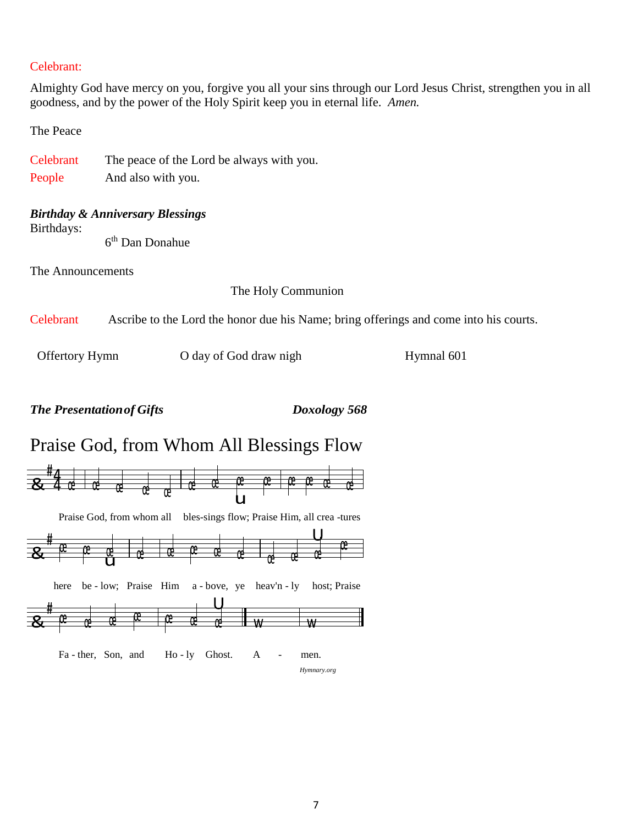#### Celebrant:

Almighty God have mercy on you, forgive you all your sins through our Lord Jesus Christ, strengthen you in all goodness, and by the power of the Holy Spirit keep you in eternal life. *Amen.*

The Peace

Celebrant The peace of the Lord be always with you. People And also with you.

#### *Birthday & Anniversary Blessings*

Birthdays:

6 th Dan Donahue

The Announcements

The Holy Communion

Celebrant Ascribe to the Lord the honor due his Name; bring offerings and come into his courts.

Offertory Hymn O day of God draw nigh Hymnal 601

*The Presentationof Gifts Doxology 568*

## Praise God, from Whom All Blessings Flow

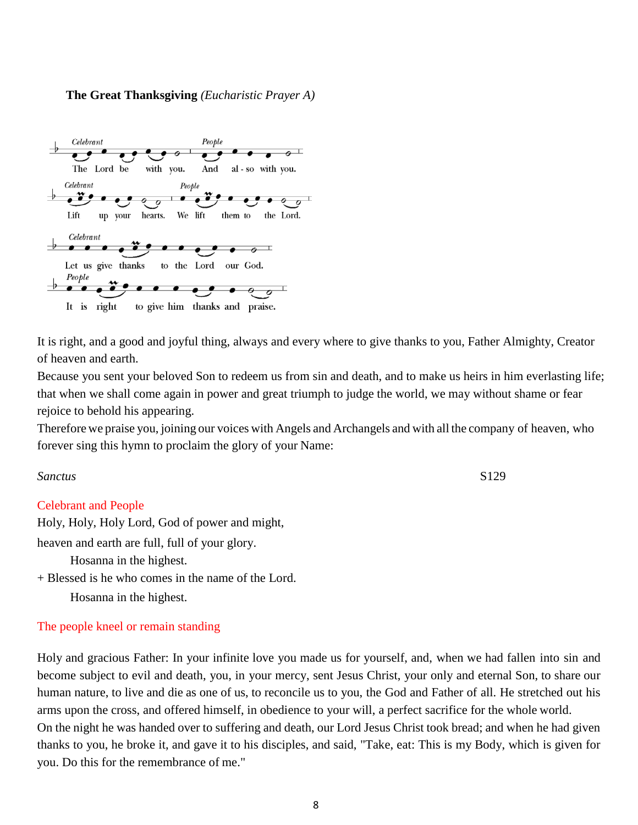#### **The Great Thanksgiving** *(Eucharistic Prayer A)*



It is right, and a good and joyful thing, always and every where to give thanks to you, Father Almighty, Creator of heaven and earth.

Because you sent your beloved Son to redeem us from sin and death, and to make us heirs in him everlasting life; that when we shall come again in power and great triumph to judge the world, we may without shame or fear rejoice to behold his appearing.

Therefore we praise you, joining our voices with Angels and Archangels and with all the company of heaven, who forever sing this hymn to proclaim the glory of your Name:

#### *Sanctus* S129

#### Celebrant and People

Holy, Holy, Holy Lord, God of power and might,

heaven and earth are full, full of your glory.

Hosanna in the highest.

+ Blessed is he who comes in the name of the Lord.

Hosanna in the highest.

#### The people kneel or remain standing

Holy and gracious Father: In your infinite love you made us for yourself, and, when we had fallen into sin and become subject to evil and death, you, in your mercy, sent Jesus Christ, your only and eternal Son, to share our human nature, to live and die as one of us, to reconcile us to you, the God and Father of all. He stretched out his arms upon the cross, and offered himself, in obedience to your will, a perfect sacrifice for the whole world. On the night he was handed over to suffering and death, our Lord Jesus Christ took bread; and when he had given thanks to you, he broke it, and gave it to his disciples, and said, "Take, eat: This is my Body, which is given for you. Do this for the remembrance of me."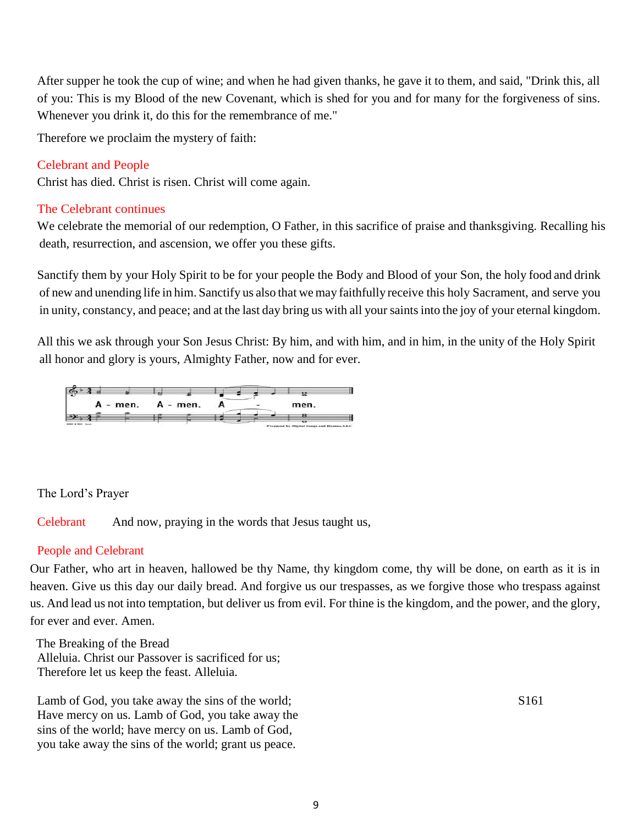After supper he took the cup of wine; and when he had given thanks, he gave it to them, and said, "Drink this, all of you: This is my Blood of the new Covenant, which is shed for you and for many for the forgiveness of sins. Whenever you drink it, do this for the remembrance of me."

Therefore we proclaim the mystery of faith:

## Celebrant and People

Christ has died. Christ is risen. Christ will come again.

## The Celebrant continues

We celebrate the memorial of our redemption, O Father, in this sacrifice of praise and thanksgiving. Recalling his death, resurrection, and ascension, we offer you these gifts.

Sanctify them by your Holy Spirit to be for your people the Body and Blood of your Son, the holy food and drink of new and unending life in him. Sanctify us also that we may faithfully receive this holy Sacrament, and serve you in unity, constancy, and peace; and at the last day bring us with all your saints into the joy of your eternal kingdom.

All this we ask through your Son Jesus Christ: By him, and with him, and in him, in the unity of the Holy Spirit all honor and glory is yours, Almighty Father, now and for ever.



## The Lord's Prayer

Celebrant And now, praying in the words that Jesus taught us,

## People and Celebrant

Our Father, who art in heaven, hallowed be thy Name, thy kingdom come, thy will be done, on earth as it is in heaven. Give us this day our daily bread. And forgive us our trespasses, as we forgive those who trespass against us. And lead us not into temptation, but deliver us from evil. For thine is the kingdom, and the power, and the glory, for ever and ever. Amen.

 The Breaking of the Bread Alleluia. Christ our Passover is sacrificed for us; Therefore let us keep the feast. Alleluia.

Lamb of God, you take away the sins of the world; S161 Have mercy on us. Lamb of God, you take away the sins of the world; have mercy on us. Lamb of God, you take away the sins of the world; grant us peace.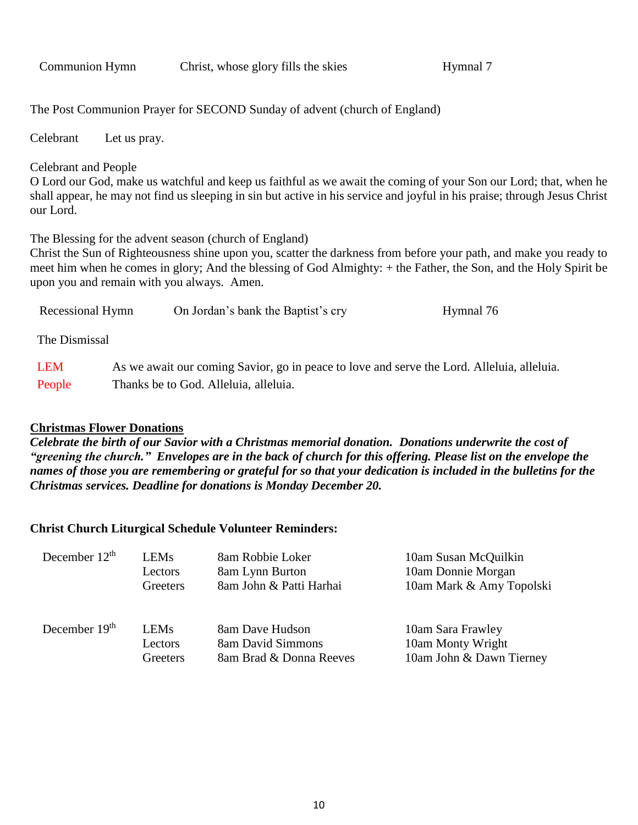| Communion Hymn | Christ, whose glory fills the skies | Hymnal 7 |
|----------------|-------------------------------------|----------|
|                |                                     |          |

The Post Communion Prayer for SECOND Sunday of advent (church of England)

Celebrant Let us pray.

Celebrant and People

O Lord our God, make us watchful and keep us faithful as we await the coming of your Son our Lord; that, when he shall appear, he may not find us sleeping in sin but active in his service and joyful in his praise; through Jesus Christ our Lord.

The Blessing for the advent season (church of England)

Christ the Sun of Righteousness shine upon you, scatter the darkness from before your path, and make you ready to meet him when he comes in glory; And the blessing of God Almighty: + the Father, the Son, and the Holy Spirit be upon you and remain with you always. Amen.

| Recessional Hymn | On Jordan's bank the Baptist's cry                                                         | Hymnal 76 |
|------------------|--------------------------------------------------------------------------------------------|-----------|
| The Dismissal    |                                                                                            |           |
| LEM              | As we await our coming Savior, go in peace to love and serve the Lord. Alleluia, alleluia. |           |
| People           | Thanks be to God. Alleluia, alleluia.                                                      |           |

## **Christmas Flower Donations**

*Celebrate the birth of our Savior with a Christmas memorial donation. Donations underwrite the cost of "greening the church." Envelopes are in the back of church for this offering. Please list on the envelope the names of those you are remembering or grateful for so that your dedication is included in the bulletins for the Christmas services. Deadline for donations is Monday December 20.*

## **Christ Church Liturgical Schedule Volunteer Reminders:**

| December $12th$ | <b>LEMs</b>      | 8am Robbie Loker        | 10am Susan McQuilkin     |
|-----------------|------------------|-------------------------|--------------------------|
|                 | Lectors          | 8am Lynn Burton         | 10am Donnie Morgan       |
|                 | Greeters         | 8am John & Patti Harhai | 10am Mark & Amy Topolski |
| December $19th$ | LEM <sub>s</sub> | 8am Dave Hudson         | 10am Sara Frawley        |
|                 | Lectors          | 8am David Simmons       | 10am Monty Wright        |
|                 | Greeters         | 8am Brad & Donna Reeves | 10am John & Dawn Tierney |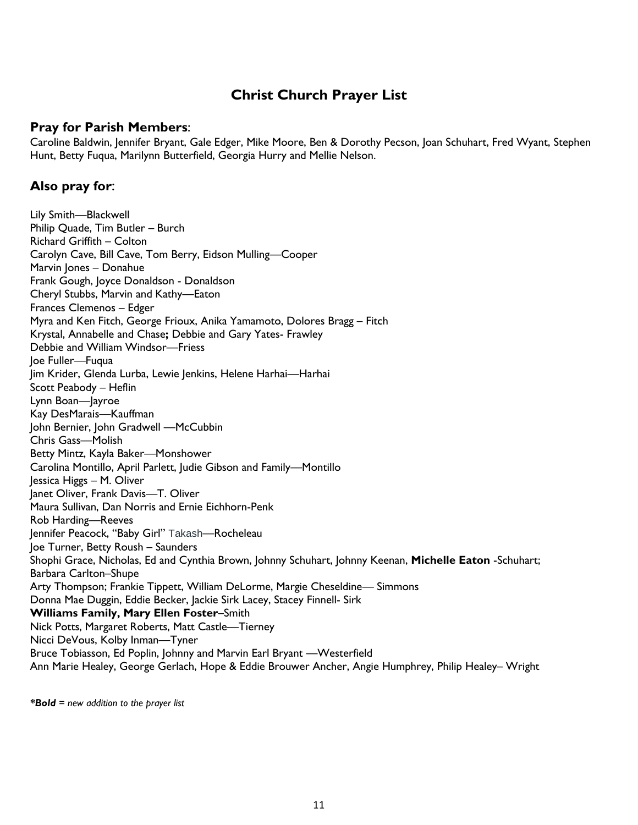## **Christ Church Prayer List**

## **Pray for Parish Members**:

Caroline Baldwin, Jennifer Bryant, Gale Edger, Mike Moore, Ben & Dorothy Pecson, Joan Schuhart, Fred Wyant, Stephen Hunt, Betty Fuqua, Marilynn Butterfield, Georgia Hurry and Mellie Nelson.

## **Also pray for**:

Lily Smith—Blackwell Philip Quade, Tim Butler – Burch Richard Griffith – Colton Carolyn Cave, Bill Cave, Tom Berry, Eidson Mulling—Cooper Marvin Jones – Donahue Frank Gough, Joyce Donaldson - Donaldson Cheryl Stubbs, Marvin and Kathy—Eaton Frances Clemenos – Edger Myra and Ken Fitch, George Frioux, Anika Yamamoto, Dolores Bragg – Fitch Krystal, Annabelle and Chase**;** Debbie and Gary Yates- Frawley Debbie and William Windsor—Friess Joe Fuller—Fuqua Jim Krider, Glenda Lurba, Lewie Jenkins, Helene Harhai—Harhai Scott Peabody – Heflin Lynn Boan—Jayroe Kay DesMarais—Kauffman John Bernier, John Gradwell —McCubbin Chris Gass—Molish Betty Mintz, Kayla Baker—Monshower Carolina Montillo, April Parlett, Judie Gibson and Family—Montillo Jessica Higgs – M. Oliver Janet Oliver, Frank Davis—T. Oliver Maura Sullivan, Dan Norris and Ernie Eichhorn-Penk Rob Harding—Reeves Jennifer Peacock, "Baby Girl" Takash—Rocheleau Joe Turner, Betty Roush – Saunders Shophi Grace, Nicholas, Ed and Cynthia Brown, Johnny Schuhart, Johnny Keenan, **Michelle Eaton** -Schuhart; Barbara Carlton–Shupe Arty Thompson; Frankie Tippett, William DeLorme, Margie Cheseldine— Simmons Donna Mae Duggin, Eddie Becker, Jackie Sirk Lacey, Stacey Finnell- Sirk **Williams Family, Mary Ellen Foster**–Smith Nick Potts, Margaret Roberts, Matt Castle—Tierney Nicci DeVous, Kolby Inman—Tyner Bruce Tobiasson, Ed Poplin, Johnny and Marvin Earl Bryant —Westerfield Ann Marie Healey, George Gerlach, Hope & Eddie Brouwer Ancher, Angie Humphrey, Philip Healey– Wright

*\*Bold = new addition to the prayer list*